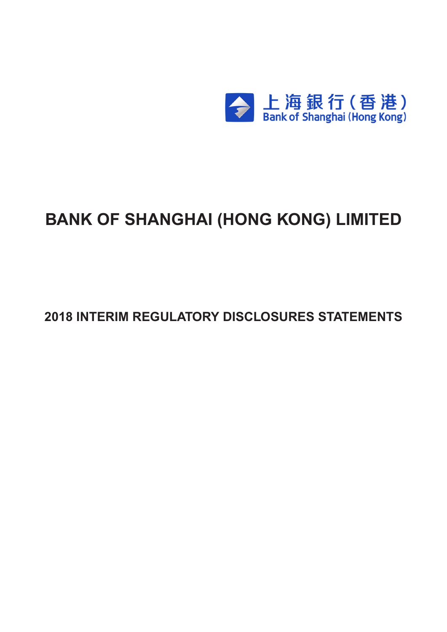

# **BANK OF SHANGHAI (HONG KONG) LIMITED**

**2018 INTERIM REGULATORY DISCLOSURES STATEMENTS**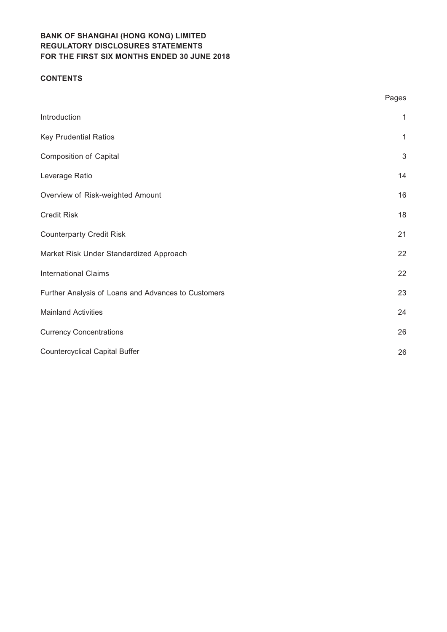#### **CONTENTS**

|                                                     | Pages      |
|-----------------------------------------------------|------------|
| Introduction                                        | 1          |
| <b>Key Prudential Ratios</b>                        | 1          |
| <b>Composition of Capital</b>                       | $\sqrt{3}$ |
| Leverage Ratio                                      | 14         |
| Overview of Risk-weighted Amount                    | 16         |
| <b>Credit Risk</b>                                  | 18         |
| <b>Counterparty Credit Risk</b>                     | 21         |
| Market Risk Under Standardized Approach             | 22         |
| <b>International Claims</b>                         | 22         |
| Further Analysis of Loans and Advances to Customers | 23         |
| <b>Mainland Activities</b>                          | 24         |
| <b>Currency Concentrations</b>                      | 26         |
| <b>Countercyclical Capital Buffer</b>               | 26         |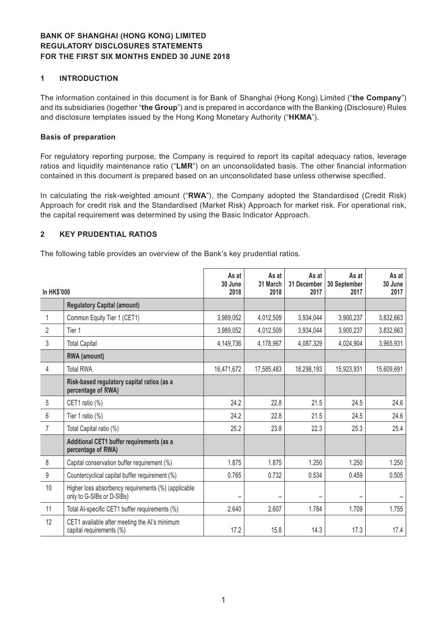#### **1 INTRODUCTION**

The information contained in this document is for Bank of Shanghai (Hong Kong) Limited ("**the Company**") and its subsidiaries (together "**the Group**") and is prepared in accordance with the Banking (Disclosure) Rules and disclosure templates issued by the Hong Kong Monetary Authority ("**HKMA**").

#### **Basis of preparation**

For regulatory reporting purpose, the Company is required to report its capital adequacy ratios, leverage ratios and liquidity maintenance ratio ("**LMR**") on an unconsolidated basis. The other financial information contained in this document is prepared based on an unconsolidated base unless otherwise specified.

In calculating the risk-weighted amount ("**RWA**"), the Company adopted the Standardised (Credit Risk) Approach for credit risk and the Standardised (Market Risk) Approach for market risk. For operational risk, the capital requirement was determined by using the Basic Indicator Approach.

#### **2 KEY PRUDENTIAL RATIOS**

The following table provides an overview of the Bank's key prudential ratios.

| In HK\$'000      |                                                                                  | As at<br>30 June<br>2018 | As at<br>31 March<br>2018 | As at<br>31 December<br>2017 | As at<br>30 September<br>2017 | As at<br>30 June<br>2017 |
|------------------|----------------------------------------------------------------------------------|--------------------------|---------------------------|------------------------------|-------------------------------|--------------------------|
|                  | <b>Regulatory Capital (amount)</b>                                               |                          |                           |                              |                               |                          |
| 1                | Common Equity Tier 1 (CET1)                                                      | 3,989,052                | 4,012,509                 | 3,934,044                    | 3,900,237                     | 3,832,663                |
| $\overline{2}$   | Tier 1                                                                           | 3,989,052                | 4,012,509                 | 3,934,044                    | 3,900,237                     | 3,832,663                |
| 3                | <b>Total Capital</b>                                                             | 4,149,736                | 4,178,967                 | 4,087,329                    | 4,024,904                     | 3,965,931                |
|                  | RWA (amount)                                                                     |                          |                           |                              |                               |                          |
| 4                | <b>Total RWA</b>                                                                 | 16,471,672               | 17,585,483                | 18,298,193                   | 15,923,931                    | 15,609,691               |
|                  | Risk-based regulatory capital ratios (as a<br>percentage of RWA)                 |                          |                           |                              |                               |                          |
| 5                | CET1 ratio (%)                                                                   | 24.2                     | 22.8                      | 21.5                         | 24.5                          | 24.6                     |
| 6                | Tier 1 ratio (%)                                                                 | 24.2                     | 22.8                      | 21.5                         | 24.5                          | 24.6                     |
| $\overline{7}$   | Total Capital ratio (%)                                                          | 25.2                     | 23.8                      | 22.3                         | 25.3                          | 25.4                     |
|                  | Additional CET1 buffer requirements (as a<br>percentage of RWA)                  |                          |                           |                              |                               |                          |
| 8                | Capital conservation buffer requirement (%)                                      | 1.875                    | 1.875                     | 1.250                        | 1.250                         | 1.250                    |
| $\boldsymbol{9}$ | Countercyclical capital buffer requirement (%)                                   | 0.765                    | 0.732                     | 0.534                        | 0.459                         | 0.505                    |
| 10               | Higher loss absorbency requirements (%) (applicable<br>only to G-SIBs or D-SIBs) |                          |                           |                              |                               |                          |
| 11               | Total Al-specific CET1 buffer requirements (%)                                   | 2.640                    | 2.607                     | 1.784                        | 1.709                         | 1.755                    |
| 12               | CET1 available after meeting the AI's minimum<br>capital requirements (%)        | 17.2                     | 15.8                      | 14.3                         | 17.3                          | 17.4                     |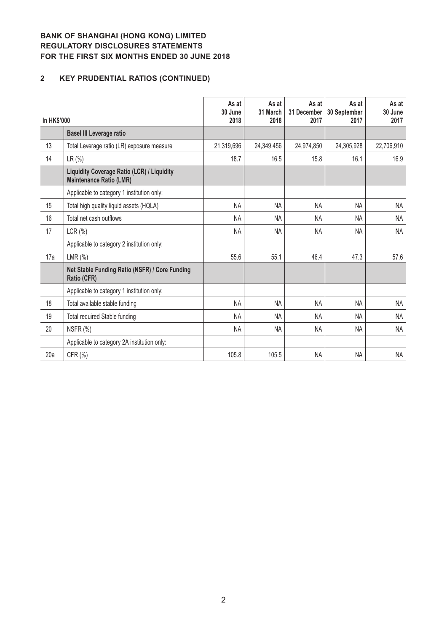# **2 KEY PRUDENTIAL RATIOS (CONTINUED)**

| <b>In HK\$'000</b> |                                                                                     | As at<br>30 June<br>2018 | As at<br>31 March<br>2018 | As at<br>31 December<br>2017 | As at<br>30 September<br>2017 | As at<br>30 June<br>2017 |
|--------------------|-------------------------------------------------------------------------------------|--------------------------|---------------------------|------------------------------|-------------------------------|--------------------------|
|                    | <b>Basel III Leverage ratio</b>                                                     |                          |                           |                              |                               |                          |
| 13                 | Total Leverage ratio (LR) exposure measure                                          | 21,319,696               | 24,349,456                | 24,974,850                   | 24,305,928                    | 22,706,910               |
| 14                 | LR (%)                                                                              | 18.7                     | 16.5                      | 15.8                         | 16.1                          | 16.9                     |
|                    | <b>Liquidity Coverage Ratio (LCR) / Liquidity</b><br><b>Maintenance Ratio (LMR)</b> |                          |                           |                              |                               |                          |
|                    | Applicable to category 1 institution only:                                          |                          |                           |                              |                               |                          |
| 15                 | Total high quality liquid assets (HQLA)                                             | <b>NA</b>                | <b>NA</b>                 | <b>NA</b>                    | <b>NA</b>                     | <b>NA</b>                |
| 16                 | Total net cash outflows                                                             | NA                       | <b>NA</b>                 | <b>NA</b>                    | NA.                           | <b>NA</b>                |
| 17                 | $LCR(\% )$                                                                          | <b>NA</b>                | <b>NA</b>                 | <b>NA</b>                    | NA                            | <b>NA</b>                |
|                    | Applicable to category 2 institution only:                                          |                          |                           |                              |                               |                          |
| 17a                | LMR $(\%)$                                                                          | 55.6                     | 55.1                      | 46.4                         | 47.3                          | 57.6                     |
|                    | Net Stable Funding Ratio (NSFR) / Core Funding<br>Ratio (CFR)                       |                          |                           |                              |                               |                          |
|                    | Applicable to category 1 institution only:                                          |                          |                           |                              |                               |                          |
| 18                 | Total available stable funding                                                      | <b>NA</b>                | <b>NA</b>                 | <b>NA</b>                    | <b>NA</b>                     | <b>NA</b>                |
| 19                 | <b>Total required Stable funding</b>                                                | <b>NA</b>                | <b>NA</b>                 | <b>NA</b>                    | <b>NA</b>                     | <b>NA</b>                |
| 20                 | NSFR (%)                                                                            | <b>NA</b>                | <b>NA</b>                 | NA                           | NA                            | <b>NA</b>                |
|                    | Applicable to category 2A institution only:                                         |                          |                           |                              |                               |                          |
| 20a                | CFR (%)                                                                             | 105.8                    | 105.5                     | <b>NA</b>                    | <b>NA</b>                     | NA                       |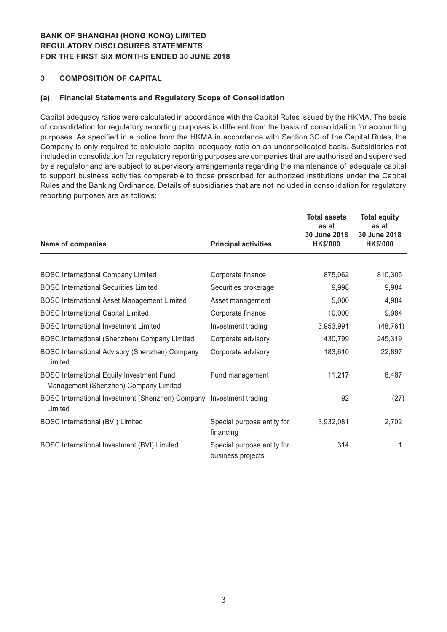#### **3 COMPOSITION OF CAPITAL**

#### **(a) Financial Statements and Regulatory Scope of Consolidation**

Capital adequacy ratios were calculated in accordance with the Capital Rules issued by the HKMA. The basis of consolidation for regulatory reporting purposes is different from the basis of consolidation for accounting purposes. As specified in a notice from the HKMA in accordance with Section 3C of the Capital Rules, the Company is only required to calculate capital adequacy ratio on an unconsolidated basis. Subsidiaries not included in consolidation for regulatory reporting purposes are companies that are authorised and supervised by a regulator and are subject to supervisory arrangements regarding the maintenance of adequate capital to support business activities comparable to those prescribed for authorized institutions under the Capital Rules and the Banking Ordinance. Details of subsidiaries that are not included in consolidation for regulatory reporting purposes are as follows:

| Name of companies                                                                         | <b>Principal activities</b>                     | <b>Total assets</b><br>as at<br>30 June 2018<br><b>HK\$'000</b> | <b>Total equity</b><br>as at<br>30 June 2018<br><b>HK\$'000</b> |
|-------------------------------------------------------------------------------------------|-------------------------------------------------|-----------------------------------------------------------------|-----------------------------------------------------------------|
|                                                                                           |                                                 |                                                                 |                                                                 |
| <b>BOSC International Company Limited</b>                                                 | Corporate finance                               | 875,062                                                         | 810,305                                                         |
| <b>BOSC International Securities Limited</b>                                              | Securities brokerage                            | 9,998                                                           | 9,984                                                           |
| <b>BOSC International Asset Management Limited</b>                                        | Asset management                                | 5,000                                                           | 4,984                                                           |
| <b>BOSC International Capital Limited</b>                                                 | Corporate finance                               | 10,000                                                          | 9,984                                                           |
| <b>BOSC</b> International Investment Limited                                              | Investment trading                              | 3,953,991                                                       | (48, 761)                                                       |
| BOSC International (Shenzhen) Company Limited                                             | Corporate advisory                              | 430,799                                                         | 245,319                                                         |
| BOSC International Advisory (Shenzhen) Company<br>Limited                                 | Corporate advisory                              | 183,610                                                         | 22,897                                                          |
| <b>BOSC International Equity Investment Fund</b><br>Management (Shenzhen) Company Limited | Fund management                                 | 11,217                                                          | 8,487                                                           |
| BOSC International Investment (Shenzhen) Company<br>Limited                               | Investment trading                              | 92                                                              | (27)                                                            |
| <b>BOSC International (BVI) Limited</b>                                                   | Special purpose entity for<br>financing         | 3,932,081                                                       | 2,702                                                           |
| BOSC International Investment (BVI) Limited                                               | Special purpose entity for<br>business projects | 314                                                             | 1                                                               |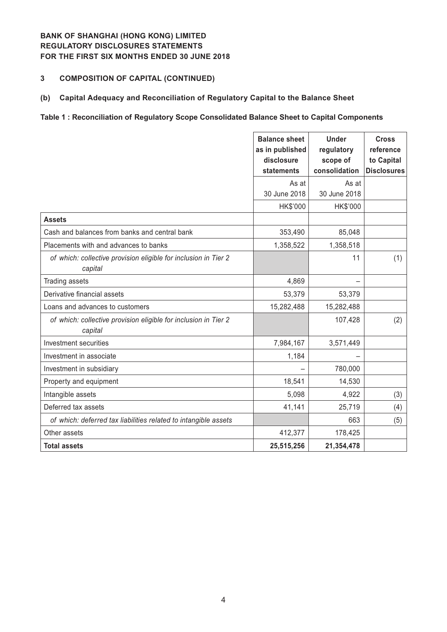## **3 COMPOSITION OF CAPITAL (CONTINUED)**

#### **(b) Capital Adequacy and Reconciliation of Regulatory Capital to the Balance Sheet**

#### **Table 1 : Reconciliation of Regulatory Scope Consolidated Balance Sheet to Capital Components**

|                                                                            | <b>Balance sheet</b><br>as in published<br>disclosure<br>statements | <b>Under</b><br>regulatory<br>scope of<br>consolidation | <b>Cross</b><br>reference<br>to Capital<br><b>Disclosures</b> |
|----------------------------------------------------------------------------|---------------------------------------------------------------------|---------------------------------------------------------|---------------------------------------------------------------|
|                                                                            | As at<br>30 June 2018                                               | As at<br>30 June 2018                                   |                                                               |
|                                                                            | HK\$'000                                                            | HK\$'000                                                |                                                               |
| <b>Assets</b>                                                              |                                                                     |                                                         |                                                               |
| Cash and balances from banks and central bank                              | 353,490                                                             | 85,048                                                  |                                                               |
| Placements with and advances to banks                                      | 1,358,522                                                           | 1,358,518                                               |                                                               |
| of which: collective provision eligible for inclusion in Tier 2<br>capital |                                                                     | 11                                                      | (1)                                                           |
| <b>Trading assets</b>                                                      | 4,869                                                               |                                                         |                                                               |
| Derivative financial assets                                                | 53,379                                                              | 53,379                                                  |                                                               |
| Loans and advances to customers                                            | 15,282,488                                                          | 15,282,488                                              |                                                               |
| of which: collective provision eligible for inclusion in Tier 2<br>capital |                                                                     | 107,428                                                 | (2)                                                           |
| Investment securities                                                      | 7,984,167                                                           | 3,571,449                                               |                                                               |
| Investment in associate                                                    | 1,184                                                               |                                                         |                                                               |
| Investment in subsidiary                                                   |                                                                     | 780,000                                                 |                                                               |
| Property and equipment                                                     | 18,541                                                              | 14,530                                                  |                                                               |
| Intangible assets                                                          | 5,098                                                               | 4,922                                                   | (3)                                                           |
| Deferred tax assets                                                        | 41,141                                                              | 25,719                                                  | (4)                                                           |
| of which: deferred tax liabilities related to intangible assets            |                                                                     | 663                                                     | (5)                                                           |
| Other assets                                                               | 412,377                                                             | 178,425                                                 |                                                               |
| <b>Total assets</b>                                                        | 25,515,256                                                          | 21,354,478                                              |                                                               |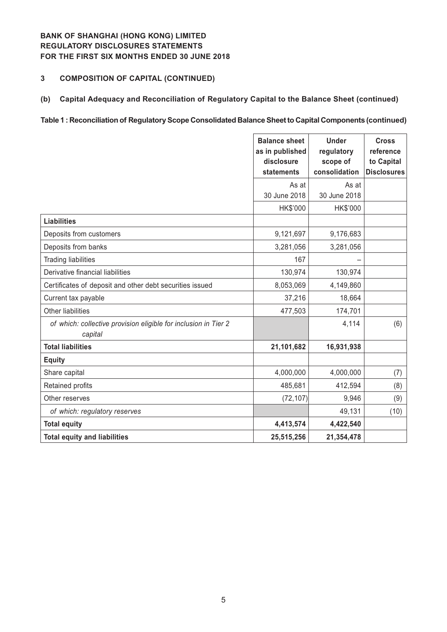## **3 COMPOSITION OF CAPITAL (CONTINUED)**

### **(b) Capital Adequacy and Reconciliation of Regulatory Capital to the Balance Sheet (continued)**

#### **Table 1 : Reconciliation of Regulatory Scope Consolidated Balance Sheet to Capital Components (continued)**

|                                                                            | <b>Balance sheet</b><br>as in published<br>disclosure<br>statements | <b>Under</b><br>regulatory<br>scope of<br>consolidation | <b>Cross</b><br>reference<br>to Capital<br><b>Disclosures</b> |
|----------------------------------------------------------------------------|---------------------------------------------------------------------|---------------------------------------------------------|---------------------------------------------------------------|
|                                                                            | As at<br>30 June 2018                                               | As at<br>30 June 2018                                   |                                                               |
|                                                                            | HK\$'000                                                            | HK\$'000                                                |                                                               |
| <b>Liabilities</b>                                                         |                                                                     |                                                         |                                                               |
| Deposits from customers                                                    | 9,121,697                                                           | 9,176,683                                               |                                                               |
| Deposits from banks                                                        | 3,281,056                                                           | 3,281,056                                               |                                                               |
| <b>Trading liabilities</b>                                                 | 167                                                                 |                                                         |                                                               |
| Derivative financial liabilities                                           | 130,974                                                             | 130,974                                                 |                                                               |
| Certificates of deposit and other debt securities issued                   | 8,053,069                                                           | 4,149,860                                               |                                                               |
| Current tax payable                                                        | 37,216                                                              | 18,664                                                  |                                                               |
| Other liabilities                                                          | 477,503                                                             | 174,701                                                 |                                                               |
| of which: collective provision eligible for inclusion in Tier 2<br>capital |                                                                     | 4,114                                                   | (6)                                                           |
| <b>Total liabilities</b>                                                   | 21,101,682                                                          | 16,931,938                                              |                                                               |
| <b>Equity</b>                                                              |                                                                     |                                                         |                                                               |
| Share capital                                                              | 4,000,000                                                           | 4,000,000                                               | (7)                                                           |
| Retained profits                                                           | 485,681                                                             | 412,594                                                 | (8)                                                           |
| Other reserves                                                             | (72, 107)                                                           | 9,946                                                   | (9)                                                           |
| of which: regulatory reserves                                              |                                                                     | 49,131                                                  | (10)                                                          |
| <b>Total equity</b>                                                        | 4,413,574                                                           | 4,422,540                                               |                                                               |
| <b>Total equity and liabilities</b>                                        | 25,515,256                                                          | 21,354,478                                              |                                                               |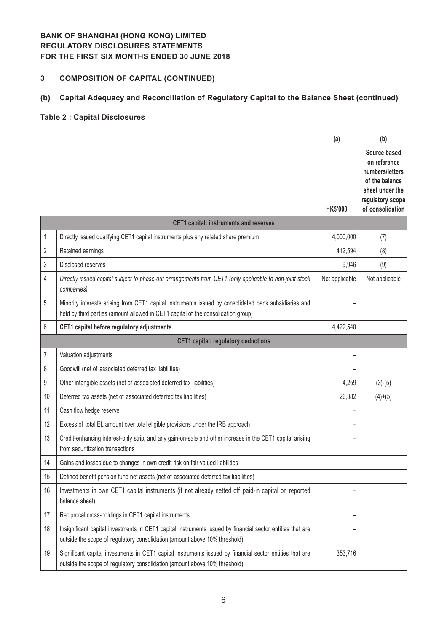## **3 COMPOSITION OF CAPITAL (CONTINUED)**

### **(b) Capital Adequacy and Reconciliation of Regulatory Capital to the Balance Sheet (continued)**

#### **Table 2 : Capital Disclosures**

|                                               | (a)             | (b)                                                                                                                          |
|-----------------------------------------------|-----------------|------------------------------------------------------------------------------------------------------------------------------|
|                                               | <b>HK\$'000</b> | Source based<br>on reference<br>numbers/letters<br>of the balance<br>sheet under the<br>regulatory scope<br>of consolidation |
| <b>CET1 capital: instruments and reserves</b> |                 |                                                                                                                              |

|    | UETT GARRICH, MISHAMMENIS AND TESERVES                                                                                                                                                     |                          |                |  |  |
|----|--------------------------------------------------------------------------------------------------------------------------------------------------------------------------------------------|--------------------------|----------------|--|--|
| 1  | Directly issued qualifying CET1 capital instruments plus any related share premium                                                                                                         | 4,000,000                | (7)            |  |  |
| 2  | Retained earnings                                                                                                                                                                          | 412,594                  | (8)            |  |  |
| 3  | Disclosed reserves                                                                                                                                                                         | 9,946                    | (9)            |  |  |
| 4  | Directly issued capital subject to phase-out arrangements from CET1 (only applicable to non-joint stock<br>companies)                                                                      | Not applicable           | Not applicable |  |  |
| 5  | Minority interests arising from CET1 capital instruments issued by consolidated bank subsidiaries and<br>held by third parties (amount allowed in CET1 capital of the consolidation group) |                          |                |  |  |
| 6  | CET1 capital before regulatory adjustments                                                                                                                                                 | 4,422,540                |                |  |  |
|    | <b>CET1 capital: regulatory deductions</b>                                                                                                                                                 |                          |                |  |  |
| 7  | Valuation adjustments                                                                                                                                                                      | -                        |                |  |  |
| 8  | Goodwill (net of associated deferred tax liabilities)                                                                                                                                      |                          |                |  |  |
| 9  | Other intangible assets (net of associated deferred tax liabilities)                                                                                                                       | 4,259                    | $(3)-(5)$      |  |  |
| 10 | Deferred tax assets (net of associated deferred tax liabilities)                                                                                                                           | 26,382                   | $(4)+(5)$      |  |  |
| 11 | Cash flow hedge reserve                                                                                                                                                                    | -                        |                |  |  |
| 12 | Excess of total EL amount over total eligible provisions under the IRB approach                                                                                                            |                          |                |  |  |
| 13 | Credit-enhancing interest-only strip, and any gain-on-sale and other increase in the CET1 capital arising<br>from securitization transactions                                              |                          |                |  |  |
| 14 | Gains and losses due to changes in own credit risk on fair valued liabilities                                                                                                              |                          |                |  |  |
| 15 | Defined benefit pension fund net assets (net of associated deferred tax liabilities)                                                                                                       |                          |                |  |  |
| 16 | Investments in own CET1 capital instruments (if not already netted off paid-in capital on reported<br>balance sheet)                                                                       |                          |                |  |  |
| 17 | Reciprocal cross-holdings in CET1 capital instruments                                                                                                                                      | $\overline{\phantom{0}}$ |                |  |  |
| 18 | Insignificant capital investments in CET1 capital instruments issued by financial sector entities that are<br>outside the scope of regulatory consolidation (amount above 10% threshold)   |                          |                |  |  |
| 19 | Significant capital investments in CET1 capital instruments issued by financial sector entities that are<br>outside the scope of regulatory consolidation (amount above 10% threshold)     | 353,716                  |                |  |  |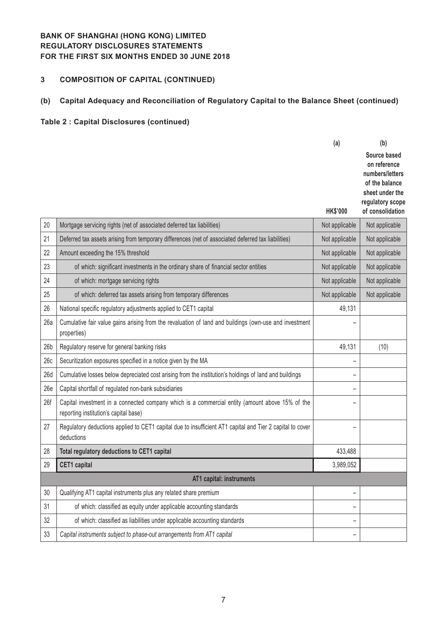# **3 COMPOSITION OF CAPITAL (CONTINUED)**

# **(b) Capital Adequacy and Reconciliation of Regulatory Capital to the Balance Sheet (continued)**

|                 |                                                                                                                                          | (a)                      | (b)                                                                                                                          |
|-----------------|------------------------------------------------------------------------------------------------------------------------------------------|--------------------------|------------------------------------------------------------------------------------------------------------------------------|
|                 |                                                                                                                                          | <b>HK\$'000</b>          | Source based<br>on reference<br>numbers/letters<br>of the balance<br>sheet under the<br>regulatory scope<br>of consolidation |
| 20              | Mortgage servicing rights (net of associated deferred tax liabilities)                                                                   | Not applicable           | Not applicable                                                                                                               |
| 21              | Deferred tax assets arising from temporary differences (net of associated deferred tax liabilities)                                      | Not applicable           | Not applicable                                                                                                               |
| 22              | Amount exceeding the 15% threshold                                                                                                       | Not applicable           | Not applicable                                                                                                               |
| 23              | of which: significant investments in the ordinary share of financial sector entities                                                     | Not applicable           | Not applicable                                                                                                               |
| 24              | of which: mortgage servicing rights                                                                                                      | Not applicable           | Not applicable                                                                                                               |
| 25              | of which: deferred tax assets arising from temporary differences                                                                         | Not applicable           | Not applicable                                                                                                               |
| 26              | National specific regulatory adjustments applied to CET1 capital                                                                         | 49,131                   |                                                                                                                              |
| 26a             | Cumulative fair value gains arising from the revaluation of land and buildings (own-use and investment<br>properties)                    |                          |                                                                                                                              |
| 26 <sub>b</sub> | Regulatory reserve for general banking risks                                                                                             | 49,131                   | (10)                                                                                                                         |
| 26c             | Securitization exposures specified in a notice given by the MA                                                                           |                          |                                                                                                                              |
| 26d             | Cumulative losses below depreciated cost arising from the institution's holdings of land and buildings                                   | $\overline{\phantom{0}}$ |                                                                                                                              |
| 26e             | Capital shortfall of regulated non-bank subsidiaries                                                                                     | -                        |                                                                                                                              |
| 26f             | Capital investment in a connected company which is a commercial entity (amount above 15% of the<br>reporting institution's capital base) | -                        |                                                                                                                              |
| 27              | Regulatory deductions applied to CET1 capital due to insufficient AT1 capital and Tier 2 capital to cover<br>deductions                  | -                        |                                                                                                                              |
| 28              | Total regulatory deductions to CET1 capital                                                                                              | 433,488                  |                                                                                                                              |
| 29              | <b>CET1</b> capital                                                                                                                      | 3,989,052                |                                                                                                                              |
|                 | AT1 capital: instruments                                                                                                                 |                          |                                                                                                                              |
| 30              | Qualifying AT1 capital instruments plus any related share premium                                                                        | -                        |                                                                                                                              |
| 31              | of which: classified as equity under applicable accounting standards                                                                     | -                        |                                                                                                                              |
| 32              | of which: classified as liabilities under applicable accounting standards                                                                | $\overline{\phantom{0}}$ |                                                                                                                              |
| 33              | Capital instruments subject to phase-out arrangements from AT1 capital                                                                   | -                        |                                                                                                                              |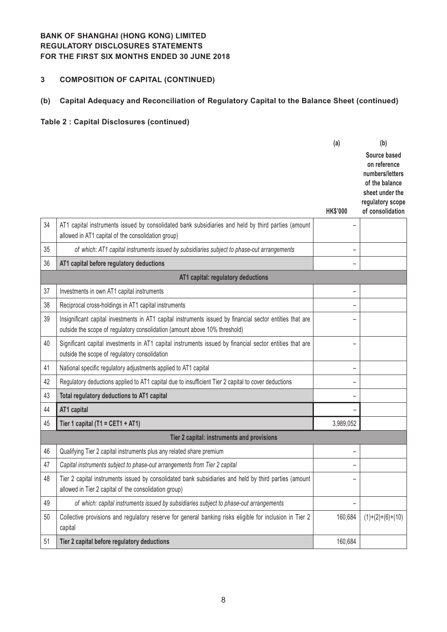# **3 COMPOSITION OF CAPITAL (CONTINUED)**

# **(b) Capital Adequacy and Reconciliation of Regulatory Capital to the Balance Sheet (continued)**

|    |                                                                                                                                                                                         | (a)             | (b)                                                                                                                          |
|----|-----------------------------------------------------------------------------------------------------------------------------------------------------------------------------------------|-----------------|------------------------------------------------------------------------------------------------------------------------------|
|    |                                                                                                                                                                                         | <b>HK\$'000</b> | Source based<br>on reference<br>numbers/letters<br>of the balance<br>sheet under the<br>regulatory scope<br>of consolidation |
| 34 | AT1 capital instruments issued by consolidated bank subsidiaries and held by third parties (amount                                                                                      |                 |                                                                                                                              |
|    | allowed in AT1 capital of the consolidation group)                                                                                                                                      |                 |                                                                                                                              |
| 35 | of which: AT1 capital instruments issued by subsidiaries subject to phase-out arrangements                                                                                              | -               |                                                                                                                              |
| 36 | AT1 capital before regulatory deductions                                                                                                                                                | -               |                                                                                                                              |
|    | AT1 capital: regulatory deductions                                                                                                                                                      |                 |                                                                                                                              |
| 37 | Investments in own AT1 capital instruments                                                                                                                                              | -               |                                                                                                                              |
| 38 | Reciprocal cross-holdings in AT1 capital instruments                                                                                                                                    | -               |                                                                                                                              |
| 39 | Insignificant capital investments in AT1 capital instruments issued by financial sector entities that are<br>outside the scope of regulatory consolidation (amount above 10% threshold) | -               |                                                                                                                              |
| 40 | Significant capital investments in AT1 capital instruments issued by financial sector entities that are<br>outside the scope of regulatory consolidation                                | -               |                                                                                                                              |
| 41 | National specific regulatory adjustments applied to AT1 capital                                                                                                                         | -               |                                                                                                                              |
| 42 | Regulatory deductions applied to AT1 capital due to insufficient Tier 2 capital to cover deductions                                                                                     | -               |                                                                                                                              |
| 43 | Total regulatory deductions to AT1 capital                                                                                                                                              | -               |                                                                                                                              |
| 44 | AT1 capital                                                                                                                                                                             |                 |                                                                                                                              |
| 45 | Tier 1 capital (T1 = CET1 + AT1)                                                                                                                                                        | 3,989,052       |                                                                                                                              |
|    | Tier 2 capital: instruments and provisions                                                                                                                                              |                 |                                                                                                                              |
| 46 | Qualifying Tier 2 capital instruments plus any related share premium                                                                                                                    | -               |                                                                                                                              |
| 47 | Capital instruments subject to phase-out arrangements from Tier 2 capital                                                                                                               | -               |                                                                                                                              |
| 48 | Tier 2 capital instruments issued by consolidated bank subsidiaries and held by third parties (amount<br>allowed in Tier 2 capital of the consolidation group)                          |                 |                                                                                                                              |
| 49 | of which: capital instruments issued by subsidiaries subject to phase-out arrangements                                                                                                  | -               |                                                                                                                              |
| 50 | Collective provisions and regulatory reserve for general banking risks eligible for inclusion in Tier 2<br>capital                                                                      | 160,684         | $(1)+(2)+(6)+(10)$                                                                                                           |
| 51 | Tier 2 capital before regulatory deductions                                                                                                                                             | 160,684         |                                                                                                                              |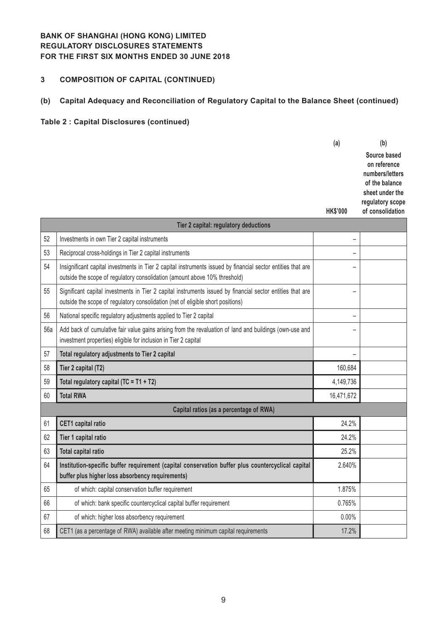# **3 COMPOSITION OF CAPITAL (CONTINUED)**

# **(b) Capital Adequacy and Reconciliation of Regulatory Capital to the Balance Sheet (continued)**

|     |                                                                                                                                                                                               | (a)             | (b)                                                               |
|-----|-----------------------------------------------------------------------------------------------------------------------------------------------------------------------------------------------|-----------------|-------------------------------------------------------------------|
|     |                                                                                                                                                                                               |                 | Source based<br>on reference<br>numbers/letters<br>of the balance |
|     |                                                                                                                                                                                               |                 | sheet under the                                                   |
|     |                                                                                                                                                                                               | <b>HK\$'000</b> | regulatory scope<br>of consolidation                              |
|     | Tier 2 capital: regulatory deductions                                                                                                                                                         |                 |                                                                   |
| 52  | Investments in own Tier 2 capital instruments                                                                                                                                                 | -               |                                                                   |
| 53  | Reciprocal cross-holdings in Tier 2 capital instruments                                                                                                                                       |                 |                                                                   |
| 54  | Insignificant capital investments in Tier 2 capital instruments issued by financial sector entities that are<br>outside the scope of regulatory consolidation (amount above 10% threshold)    |                 |                                                                   |
| 55  | Significant capital investments in Tier 2 capital instruments issued by financial sector entities that are<br>outside the scope of regulatory consolidation (net of eligible short positions) |                 |                                                                   |
| 56  | National specific regulatory adjustments applied to Tier 2 capital                                                                                                                            | -               |                                                                   |
| 56a | Add back of cumulative fair value gains arising from the revaluation of land and buildings (own-use and<br>investment properties) eligible for inclusion in Tier 2 capital                    |                 |                                                                   |
| 57  | Total regulatory adjustments to Tier 2 capital                                                                                                                                                |                 |                                                                   |
| 58  | Tier 2 capital (T2)                                                                                                                                                                           | 160,684         |                                                                   |
| 59  | Total regulatory capital (TC = T1 + T2)                                                                                                                                                       | 4,149,736       |                                                                   |
| 60  | <b>Total RWA</b>                                                                                                                                                                              | 16,471,672      |                                                                   |
|     | Capital ratios (as a percentage of RWA)                                                                                                                                                       |                 |                                                                   |
| 61  | <b>CET1</b> capital ratio                                                                                                                                                                     | 24.2%           |                                                                   |
| 62  | Tier 1 capital ratio                                                                                                                                                                          | 24.2%           |                                                                   |
| 63  | <b>Total capital ratio</b>                                                                                                                                                                    | 25.2%           |                                                                   |
| 64  | Institution-specific buffer requirement (capital conservation buffer plus countercyclical capital<br>buffer plus higher loss absorbency requirements)                                         | 2.640%          |                                                                   |
| 65  | of which: capital conservation buffer requirement                                                                                                                                             | 1.875%          |                                                                   |
| 66  | of which: bank specific countercyclical capital buffer requirement                                                                                                                            | 0.765%          |                                                                   |
| 67  | of which: higher loss absorbency requirement                                                                                                                                                  | $0.00\%$        |                                                                   |
| 68  | CET1 (as a percentage of RWA) available after meeting minimum capital requirements                                                                                                            | 17.2%           |                                                                   |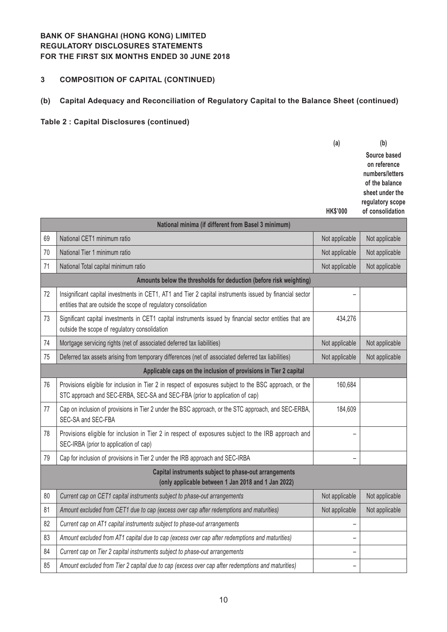# **3 COMPOSITION OF CAPITAL (CONTINUED)**

# **(b) Capital Adequacy and Reconciliation of Regulatory Capital to the Balance Sheet (continued)**

|    |                                                                                                                                                                                        | (a)             | (b)                                  |
|----|----------------------------------------------------------------------------------------------------------------------------------------------------------------------------------------|-----------------|--------------------------------------|
|    |                                                                                                                                                                                        |                 | Source based<br>on reference         |
|    |                                                                                                                                                                                        |                 | numbers/letters<br>of the balance    |
|    |                                                                                                                                                                                        |                 | sheet under the                      |
|    |                                                                                                                                                                                        | <b>HK\$'000</b> | regulatory scope<br>of consolidation |
|    | National minima (if different from Basel 3 minimum)                                                                                                                                    |                 |                                      |
| 69 | National CET1 minimum ratio                                                                                                                                                            | Not applicable  | Not applicable                       |
| 70 | National Tier 1 minimum ratio                                                                                                                                                          | Not applicable  | Not applicable                       |
| 71 | National Total capital minimum ratio                                                                                                                                                   | Not applicable  | Not applicable                       |
|    | Amounts below the thresholds for deduction (before risk weighting)                                                                                                                     |                 |                                      |
| 72 | Insignificant capital investments in CET1, AT1 and Tier 2 capital instruments issued by financial sector<br>entities that are outside the scope of regulatory consolidation            |                 |                                      |
| 73 | Significant capital investments in CET1 capital instruments issued by financial sector entities that are<br>outside the scope of regulatory consolidation                              | 434,276         |                                      |
| 74 | Mortgage servicing rights (net of associated deferred tax liabilities)                                                                                                                 | Not applicable  | Not applicable                       |
| 75 | Deferred tax assets arising from temporary differences (net of associated deferred tax liabilities)                                                                                    | Not applicable  | Not applicable                       |
|    | Applicable caps on the inclusion of provisions in Tier 2 capital                                                                                                                       |                 |                                      |
| 76 | Provisions eligible for inclusion in Tier 2 in respect of exposures subject to the BSC approach, or the<br>STC approach and SEC-ERBA, SEC-SA and SEC-FBA (prior to application of cap) | 160,684         |                                      |
| 77 | Cap on inclusion of provisions in Tier 2 under the BSC approach, or the STC approach, and SEC-ERBA,<br>SEC-SA and SEC-FBA                                                              | 184,609         |                                      |
| 78 | Provisions eligible for inclusion in Tier 2 in respect of exposures subject to the IRB approach and<br>SEC-IRBA (prior to application of cap)                                          |                 |                                      |
| 79 | Cap for inclusion of provisions in Tier 2 under the IRB approach and SEC-IRBA                                                                                                          | -               |                                      |
|    | Capital instruments subject to phase-out arrangements<br>(only applicable between 1 Jan 2018 and 1 Jan 2022)                                                                           |                 |                                      |
| 80 | Current cap on CET1 capital instruments subject to phase-out arrangements                                                                                                              | Not applicable  | Not applicable                       |
| 81 | Amount excluded from CET1 due to cap (excess over cap after redemptions and maturities)                                                                                                | Not applicable  | Not applicable                       |
| 82 | Current cap on AT1 capital instruments subject to phase-out arrangements                                                                                                               | -               |                                      |
| 83 | Amount excluded from AT1 capital due to cap (excess over cap after redemptions and maturities)                                                                                         |                 |                                      |
| 84 | Current cap on Tier 2 capital instruments subject to phase-out arrangements                                                                                                            |                 |                                      |
| 85 | Amount excluded from Tier 2 capital due to cap (excess over cap after redemptions and maturities)                                                                                      | -               |                                      |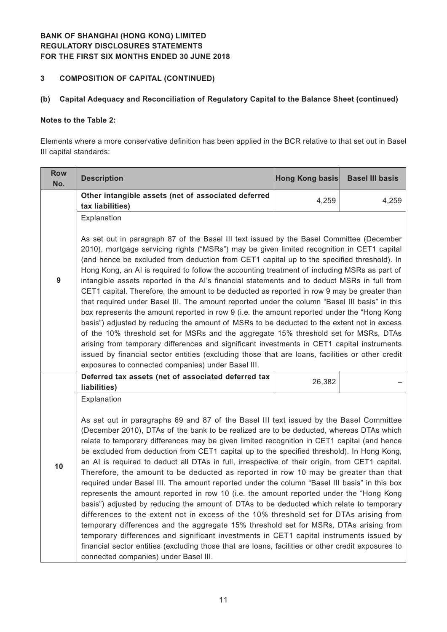# **3 COMPOSITION OF CAPITAL (CONTINUED)**

### **(b) Capital Adequacy and Reconciliation of Regulatory Capital to the Balance Sheet (continued)**

#### **Notes to the Table 2:**

Elements where a more conservative definition has been applied in the BCR relative to that set out in Basel III capital standards:

| <b>Row</b><br>No. | <b>Description</b>                                                                                                                                                                                                                                                                                                                                                                                                                                                                                                                                                                                                                                                                                                                                                                                                                                                                                                                                                                                                                                                                                                                                                                                                                                                                                         | Hong Kong basis | <b>Basel III basis</b> |  |  |
|-------------------|------------------------------------------------------------------------------------------------------------------------------------------------------------------------------------------------------------------------------------------------------------------------------------------------------------------------------------------------------------------------------------------------------------------------------------------------------------------------------------------------------------------------------------------------------------------------------------------------------------------------------------------------------------------------------------------------------------------------------------------------------------------------------------------------------------------------------------------------------------------------------------------------------------------------------------------------------------------------------------------------------------------------------------------------------------------------------------------------------------------------------------------------------------------------------------------------------------------------------------------------------------------------------------------------------------|-----------------|------------------------|--|--|
|                   | Other intangible assets (net of associated deferred<br>tax liabilities)                                                                                                                                                                                                                                                                                                                                                                                                                                                                                                                                                                                                                                                                                                                                                                                                                                                                                                                                                                                                                                                                                                                                                                                                                                    | 4,259           | 4,259                  |  |  |
| 9                 | Explanation<br>As set out in paragraph 87 of the Basel III text issued by the Basel Committee (December<br>2010), mortgage servicing rights ("MSRs") may be given limited recognition in CET1 capital<br>(and hence be excluded from deduction from CET1 capital up to the specified threshold). In<br>Hong Kong, an AI is required to follow the accounting treatment of including MSRs as part of<br>intangible assets reported in the AI's financial statements and to deduct MSRs in full from<br>CET1 capital. Therefore, the amount to be deducted as reported in row 9 may be greater than<br>that required under Basel III. The amount reported under the column "Basel III basis" in this<br>box represents the amount reported in row 9 (i.e. the amount reported under the "Hong Kong<br>basis") adjusted by reducing the amount of MSRs to be deducted to the extent not in excess<br>of the 10% threshold set for MSRs and the aggregate 15% threshold set for MSRs, DTAs<br>arising from temporary differences and significant investments in CET1 capital instruments<br>issued by financial sector entities (excluding those that are loans, facilities or other credit<br>exposures to connected companies) under Basel III.                                                              |                 |                        |  |  |
|                   | Deferred tax assets (net of associated deferred tax<br>liabilities)                                                                                                                                                                                                                                                                                                                                                                                                                                                                                                                                                                                                                                                                                                                                                                                                                                                                                                                                                                                                                                                                                                                                                                                                                                        | 26,382          |                        |  |  |
| 10                | Explanation<br>As set out in paragraphs 69 and 87 of the Basel III text issued by the Basel Committee<br>(December 2010), DTAs of the bank to be realized are to be deducted, whereas DTAs which<br>relate to temporary differences may be given limited recognition in CET1 capital (and hence<br>be excluded from deduction from CET1 capital up to the specified threshold). In Hong Kong,<br>an AI is required to deduct all DTAs in full, irrespective of their origin, from CET1 capital.<br>Therefore, the amount to be deducted as reported in row 10 may be greater than that<br>required under Basel III. The amount reported under the column "Basel III basis" in this box<br>represents the amount reported in row 10 (i.e. the amount reported under the "Hong Kong<br>basis") adjusted by reducing the amount of DTAs to be deducted which relate to temporary<br>differences to the extent not in excess of the 10% threshold set for DTAs arising from<br>temporary differences and the aggregate 15% threshold set for MSRs, DTAs arising from<br>temporary differences and significant investments in CET1 capital instruments issued by<br>financial sector entities (excluding those that are loans, facilities or other credit exposures to<br>connected companies) under Basel III. |                 |                        |  |  |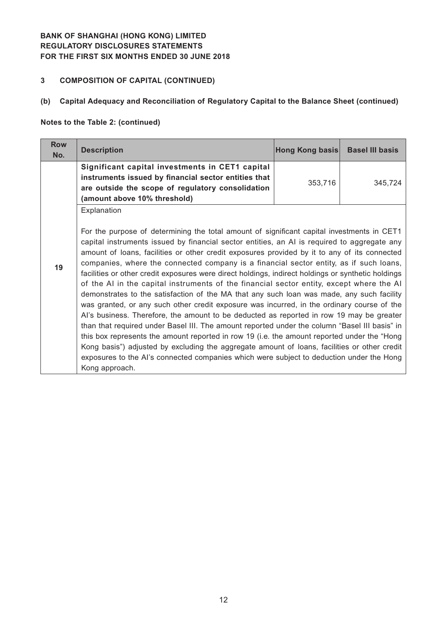# **3 COMPOSITION OF CAPITAL (CONTINUED)**

## **(b) Capital Adequacy and Reconciliation of Regulatory Capital to the Balance Sheet (continued)**

#### **Notes to the Table 2: (continued)**

| <b>Row</b><br>No. | <b>Description</b>                                                                                                                                                                                                                                                                                                                                                                                                                                                                                                                                                                                                                                                                                                                                                                                                                                                                                                                                                                                                                                                                                                                                                                                                                                                                                         | Hong Kong basis | <b>Basel III basis</b> |
|-------------------|------------------------------------------------------------------------------------------------------------------------------------------------------------------------------------------------------------------------------------------------------------------------------------------------------------------------------------------------------------------------------------------------------------------------------------------------------------------------------------------------------------------------------------------------------------------------------------------------------------------------------------------------------------------------------------------------------------------------------------------------------------------------------------------------------------------------------------------------------------------------------------------------------------------------------------------------------------------------------------------------------------------------------------------------------------------------------------------------------------------------------------------------------------------------------------------------------------------------------------------------------------------------------------------------------------|-----------------|------------------------|
|                   | Significant capital investments in CET1 capital<br>instruments issued by financial sector entities that<br>are outside the scope of regulatory consolidation<br>(amount above 10% threshold)                                                                                                                                                                                                                                                                                                                                                                                                                                                                                                                                                                                                                                                                                                                                                                                                                                                                                                                                                                                                                                                                                                               | 353,716         | 345.724                |
| 19                | Explanation<br>For the purpose of determining the total amount of significant capital investments in CET1<br>capital instruments issued by financial sector entities, an AI is required to aggregate any<br>amount of loans, facilities or other credit exposures provided by it to any of its connected<br>companies, where the connected company is a financial sector entity, as if such loans,<br>facilities or other credit exposures were direct holdings, indirect holdings or synthetic holdings<br>of the AI in the capital instruments of the financial sector entity, except where the AI<br>demonstrates to the satisfaction of the MA that any such loan was made, any such facility<br>was granted, or any such other credit exposure was incurred, in the ordinary course of the<br>Al's business. Therefore, the amount to be deducted as reported in row 19 may be greater<br>than that required under Basel III. The amount reported under the column "Basel III basis" in<br>this box represents the amount reported in row 19 (i.e. the amount reported under the "Hong"<br>Kong basis") adjusted by excluding the aggregate amount of loans, facilities or other credit<br>exposures to the AI's connected companies which were subject to deduction under the Hong<br>Kong approach. |                 |                        |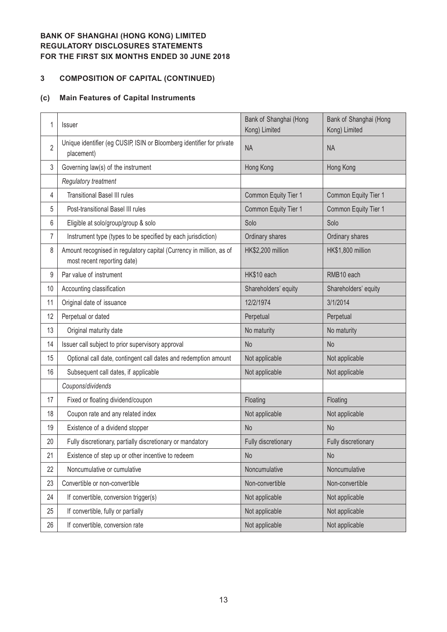# **COMPOSITION OF CAPITAL (CONTINUED)**

#### **(c) Main Features of Capital Instruments**

| 1              | Issuer                                                                                             | Bank of Shanghai (Hong<br>Kong) Limited | Bank of Shanghai (Hong<br>Kong) Limited |
|----------------|----------------------------------------------------------------------------------------------------|-----------------------------------------|-----------------------------------------|
| $\overline{2}$ | Unique identifier (eg CUSIP, ISIN or Bloomberg identifier for private<br>placement)                | <b>NA</b>                               | <b>NA</b>                               |
| 3              | Governing law(s) of the instrument                                                                 | Hong Kong                               | Hong Kong                               |
|                | Regulatory treatment                                                                               |                                         |                                         |
| 4              | <b>Transitional Basel III rules</b>                                                                | Common Equity Tier 1                    | Common Equity Tier 1                    |
| 5              | Post-transitional Basel III rules                                                                  | Common Equity Tier 1                    | Common Equity Tier 1                    |
| 6              | Eligible at solo/group/group & solo                                                                | Solo                                    | Solo                                    |
| 7              | Instrument type (types to be specified by each jurisdiction)                                       | Ordinary shares                         | Ordinary shares                         |
| 8              | Amount recognised in regulatory capital (Currency in million, as of<br>most recent reporting date) | HK\$2,200 million                       | HK\$1,800 million                       |
| 9              | Par value of instrument                                                                            | HK\$10 each                             | RMB10 each                              |
| 10             | Accounting classification                                                                          | Shareholders' equity                    | Shareholders' equity                    |
| 11             | Original date of issuance                                                                          | 12/2/1974                               | 3/1/2014                                |
| 12             | Perpetual or dated                                                                                 | Perpetual                               | Perpetual                               |
| 13             | Original maturity date                                                                             | No maturity                             | No maturity                             |
| 14             | Issuer call subject to prior supervisory approval                                                  | <b>No</b>                               | N <sub>o</sub>                          |
| 15             | Optional call date, contingent call dates and redemption amount                                    | Not applicable                          | Not applicable                          |
| 16             | Subsequent call dates, if applicable                                                               | Not applicable                          | Not applicable                          |
|                | Coupons/dividends                                                                                  |                                         |                                         |
| 17             | Fixed or floating dividend/coupon                                                                  | Floating                                | Floating                                |
| 18             | Coupon rate and any related index                                                                  | Not applicable                          | Not applicable                          |
| 19             | Existence of a dividend stopper                                                                    | <b>No</b>                               | <b>No</b>                               |
| 20             | Fully discretionary, partially discretionary or mandatory                                          | Fully discretionary                     | Fully discretionary                     |
| 21             | Existence of step up or other incentive to redeem                                                  | <b>No</b>                               | No                                      |
| 22             | Noncumulative or cumulative                                                                        | Noncumulative                           | Noncumulative                           |
| 23             | Convertible or non-convertible                                                                     | Non-convertible                         | Non-convertible                         |
| 24             | If convertible, conversion trigger(s)                                                              | Not applicable                          | Not applicable                          |
| 25             | If convertible, fully or partially                                                                 | Not applicable                          | Not applicable                          |
| 26             | If convertible, conversion rate                                                                    | Not applicable                          | Not applicable                          |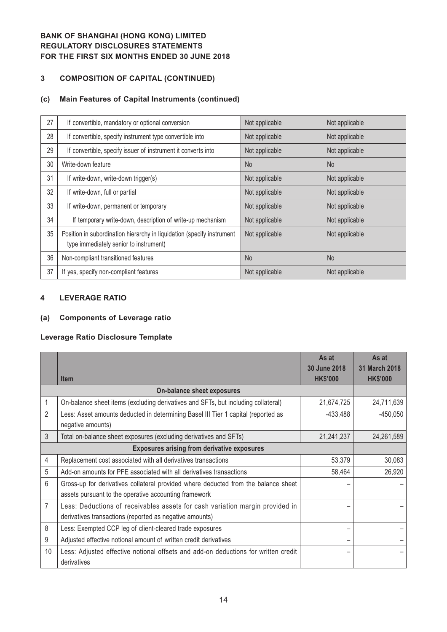## **3 COMPOSITION OF CAPITAL (CONTINUED)**

#### **(c) Main Features of Capital Instruments (continued)**

| 27 | If convertible, mandatory or optional conversion                                                                 | Not applicable | Not applicable |
|----|------------------------------------------------------------------------------------------------------------------|----------------|----------------|
| 28 | If convertible, specify instrument type convertible into                                                         | Not applicable | Not applicable |
| 29 | If convertible, specify issuer of instrument it converts into                                                    | Not applicable | Not applicable |
| 30 | Write-down feature                                                                                               | <b>No</b>      | <b>No</b>      |
| 31 | If write-down, write-down trigger(s)                                                                             | Not applicable | Not applicable |
| 32 | If write-down, full or partial                                                                                   | Not applicable | Not applicable |
| 33 | If write-down, permanent or temporary                                                                            | Not applicable | Not applicable |
| 34 | If temporary write-down, description of write-up mechanism                                                       | Not applicable | Not applicable |
| 35 | Position in subordination hierarchy in liquidation (specify instrument<br>type immediately senior to instrument) | Not applicable | Not applicable |
| 36 | Non-compliant transitioned features                                                                              | <b>No</b>      | N <sub>o</sub> |
| 37 | If yes, specify non-compliant features                                                                           | Not applicable | Not applicable |

#### **4 LEVERAGE RATIO**

### **(a) Components of Leverage ratio**

#### **Leverage Ratio Disclosure Template**

|                |                                                                                                                                             | As at<br>30 June 2018 | As at<br>31 March 2018 |
|----------------|---------------------------------------------------------------------------------------------------------------------------------------------|-----------------------|------------------------|
|                | <b>Item</b>                                                                                                                                 | <b>HK\$'000</b>       | <b>HK\$'000</b>        |
|                | On-balance sheet exposures                                                                                                                  |                       |                        |
|                | On-balance sheet items (excluding derivatives and SFTs, but including collateral)                                                           | 21,674,725            | 24,711,639             |
| 2              | Less: Asset amounts deducted in determining Basel III Tier 1 capital (reported as<br>negative amounts)                                      | $-433,488$            | $-450,050$             |
| $\mathfrak{Z}$ | Total on-balance sheet exposures (excluding derivatives and SFTs)                                                                           | 21,241,237            | 24,261,589             |
|                | <b>Exposures arising from derivative exposures</b>                                                                                          |                       |                        |
| 4              | Replacement cost associated with all derivatives transactions                                                                               | 53,379                | 30,083                 |
| 5              | Add-on amounts for PFE associated with all derivatives transactions                                                                         | 58,464                | 26,920                 |
| 6              | Gross-up for derivatives collateral provided where deducted from the balance sheet<br>assets pursuant to the operative accounting framework |                       |                        |
| 7              | Less: Deductions of receivables assets for cash variation margin provided in<br>derivatives transactions (reported as negative amounts)     |                       |                        |
| 8              | Less: Exempted CCP leg of client-cleared trade exposures                                                                                    |                       |                        |
| 9              | Adjusted effective notional amount of written credit derivatives                                                                            |                       |                        |
| 10             | Less: Adjusted effective notional offsets and add-on deductions for written credit<br>derivatives                                           |                       |                        |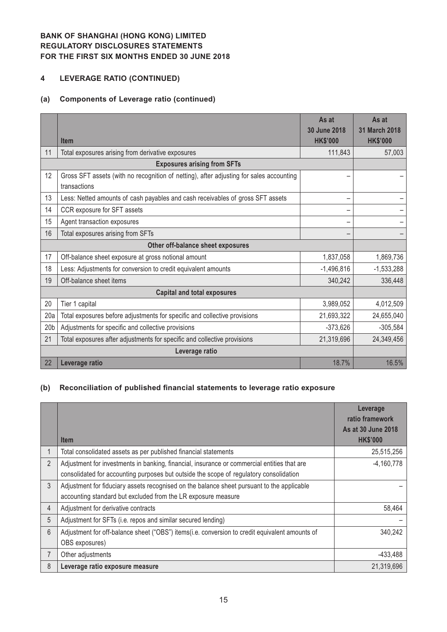# **4 LEVERAGE RATIO (CONTINUED)**

### **(a) Components of Leverage ratio (continued)**

|                                   |                                                                                                         | As at<br>30 June 2018 | As at<br>31 March 2018 |  |  |
|-----------------------------------|---------------------------------------------------------------------------------------------------------|-----------------------|------------------------|--|--|
|                                   | <b>Item</b>                                                                                             | <b>HK\$'000</b>       | <b>HK\$'000</b>        |  |  |
| 11                                | Total exposures arising from derivative exposures                                                       | 111,843               | 57,003                 |  |  |
|                                   | <b>Exposures arising from SFTs</b>                                                                      |                       |                        |  |  |
| 12                                | Gross SFT assets (with no recognition of netting), after adjusting for sales accounting<br>transactions |                       |                        |  |  |
| 13                                | Less: Netted amounts of cash payables and cash receivables of gross SFT assets                          |                       |                        |  |  |
| 14                                | CCR exposure for SFT assets                                                                             |                       |                        |  |  |
| 15                                | Agent transaction exposures                                                                             |                       |                        |  |  |
| 16                                | Total exposures arising from SFTs                                                                       |                       |                        |  |  |
| Other off-balance sheet exposures |                                                                                                         |                       |                        |  |  |
| 17                                | Off-balance sheet exposure at gross notional amount                                                     | 1,837,058             | 1,869,736              |  |  |
| 18                                | Less: Adjustments for conversion to credit equivalent amounts                                           | $-1,496,816$          | $-1,533,288$           |  |  |
| 19                                | Off-balance sheet items                                                                                 | 340,242               | 336,448                |  |  |
|                                   | <b>Capital and total exposures</b>                                                                      |                       |                        |  |  |
| 20                                | Tier 1 capital                                                                                          | 3,989,052             | 4,012,509              |  |  |
| 20a                               | Total exposures before adjustments for specific and collective provisions                               | 21,693,322            | 24,655,040             |  |  |
| 20 <sub>b</sub>                   | Adjustments for specific and collective provisions                                                      | $-373,626$            | $-305,584$             |  |  |
| 21                                | Total exposures after adjustments for specific and collective provisions                                | 21,319,696            | 24,349,456             |  |  |
|                                   | Leverage ratio                                                                                          |                       |                        |  |  |
| 22                                | Leverage ratio                                                                                          | 18.7%                 | 16.5%                  |  |  |

#### **(b) Reconciliation of published financial statements to leverage ratio exposure**

|                | <b>Item</b>                                                                                                                                                                           | Leverage<br>ratio framework<br>As at 30 June 2018<br><b>HK\$'000</b> |
|----------------|---------------------------------------------------------------------------------------------------------------------------------------------------------------------------------------|----------------------------------------------------------------------|
|                | Total consolidated assets as per published financial statements                                                                                                                       | 25,515,256                                                           |
| $\overline{2}$ | Adjustment for investments in banking, financial, insurance or commercial entities that are<br>consolidated for accounting purposes but outside the scope of regulatory consolidation | $-4,160,778$                                                         |
| $\mathfrak{Z}$ | Adjustment for fiduciary assets recognised on the balance sheet pursuant to the applicable<br>accounting standard but excluded from the LR exposure measure                           |                                                                      |
| 4              | Adjustment for derivative contracts                                                                                                                                                   | 58,464                                                               |
| 5              | Adjustment for SFTs (i.e. repos and similar secured lending)                                                                                                                          |                                                                      |
| 6              | Adjustment for off-balance sheet ("OBS") items(i.e. conversion to credit equivalent amounts of<br>OBS exposures)                                                                      | 340,242                                                              |
| $\overline{7}$ | Other adjustments                                                                                                                                                                     | $-433,488$                                                           |
| 8              | Leverage ratio exposure measure                                                                                                                                                       | 21,319,696                                                           |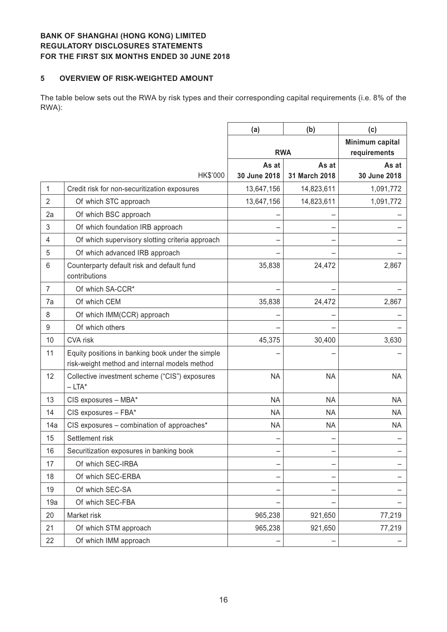#### **5 OVERVIEW OF RISK-WEIGHTED AMOUNT**

The table below sets out the RWA by risk types and their corresponding capital requirements (i.e. 8% of the RWA):

|                 |                                                                                                    | (a)                   | (b)                    | (c)                             |
|-----------------|----------------------------------------------------------------------------------------------------|-----------------------|------------------------|---------------------------------|
|                 |                                                                                                    |                       | <b>RWA</b>             | Minimum capital<br>requirements |
|                 | HK\$'000                                                                                           | As at<br>30 June 2018 | As at<br>31 March 2018 | As at<br>30 June 2018           |
| 1               | Credit risk for non-securitization exposures                                                       | 13,647,156            | 14,823,611             | 1,091,772                       |
| $\overline{2}$  | Of which STC approach                                                                              | 13,647,156            | 14,823,611             | 1,091,772                       |
| 2a              | Of which BSC approach                                                                              |                       |                        |                                 |
| 3               | Of which foundation IRB approach                                                                   |                       |                        |                                 |
| 4               | Of which supervisory slotting criteria approach                                                    |                       |                        |                                 |
| 5               | Of which advanced IRB approach                                                                     |                       |                        |                                 |
| $6\phantom{1}6$ | Counterparty default risk and default fund<br>contributions                                        | 35,838                | 24,472                 | 2,867                           |
| 7               | Of which SA-CCR*                                                                                   |                       |                        |                                 |
| 7a              | Of which CEM                                                                                       | 35,838                | 24,472                 | 2,867                           |
| 8               | Of which IMM(CCR) approach                                                                         |                       |                        |                                 |
| 9               | Of which others                                                                                    |                       |                        |                                 |
| 10              | CVA risk                                                                                           | 45,375                | 30,400                 | 3,630                           |
| 11              | Equity positions in banking book under the simple<br>risk-weight method and internal models method |                       |                        |                                 |
| 12              | Collective investment scheme ("CIS") exposures<br>$-LTA^*$                                         | <b>NA</b>             | <b>NA</b>              | <b>NA</b>                       |
| 13              | CIS exposures - MBA*                                                                               | <b>NA</b>             | <b>NA</b>              | <b>NA</b>                       |
| 14              | CIS exposures - FBA*                                                                               | <b>NA</b>             | <b>NA</b>              | NA                              |
| 14a             | CIS exposures - combination of approaches*                                                         | <b>NA</b>             | <b>NA</b>              | <b>NA</b>                       |
| 15              | Settlement risk                                                                                    |                       |                        |                                 |
| 16              | Securitization exposures in banking book                                                           |                       |                        |                                 |
| 17              | Of which SEC-IRBA                                                                                  |                       |                        |                                 |
| 18              | Of which SEC-ERBA                                                                                  |                       |                        |                                 |
| 19              | Of which SEC-SA                                                                                    |                       |                        |                                 |
| 19a             | Of which SEC-FBA                                                                                   |                       |                        |                                 |
| 20              | Market risk                                                                                        | 965,238               | 921,650                | 77,219                          |
| 21              | Of which STM approach                                                                              | 965,238               | 921,650                | 77,219                          |
| 22              | Of which IMM approach                                                                              |                       |                        |                                 |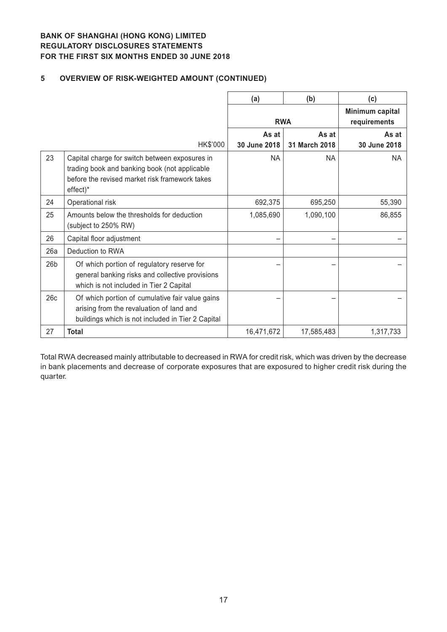# **5 OVERVIEW OF RISK-WEIGHTED AMOUNT (CONTINUED)**

|                 |                                                                                                                                                               | (a)          | (b)           | (c)                             |
|-----------------|---------------------------------------------------------------------------------------------------------------------------------------------------------------|--------------|---------------|---------------------------------|
|                 |                                                                                                                                                               |              | <b>RWA</b>    | Minimum capital<br>requirements |
|                 |                                                                                                                                                               | As at        | As at         | As at                           |
|                 | HK\$'000                                                                                                                                                      | 30 June 2018 | 31 March 2018 | 30 June 2018                    |
| 23              | Capital charge for switch between exposures in<br>trading book and banking book (not applicable<br>before the revised market risk framework takes<br>effect)* | <b>NA</b>    | <b>NA</b>     | <b>NA</b>                       |
| 24              | Operational risk                                                                                                                                              | 692,375      | 695,250       | 55,390                          |
| 25              | Amounts below the thresholds for deduction<br>(subject to 250% RW)                                                                                            | 1,085,690    | 1,090,100     | 86,855                          |
| 26              | Capital floor adjustment                                                                                                                                      |              |               |                                 |
| 26a             | Deduction to RWA                                                                                                                                              |              |               |                                 |
| 26 <sub>b</sub> | Of which portion of regulatory reserve for<br>general banking risks and collective provisions<br>which is not included in Tier 2 Capital                      |              |               |                                 |
| 26c             | Of which portion of cumulative fair value gains<br>arising from the revaluation of land and<br>buildings which is not included in Tier 2 Capital              |              |               |                                 |
| 27              | Total                                                                                                                                                         | 16,471,672   | 17,585,483    | 1,317,733                       |

Total RWA decreased mainly attributable to decreased in RWA for credit risk, which was driven by the decrease in bank placements and decrease of corporate exposures that are exposured to higher credit risk during the quarter.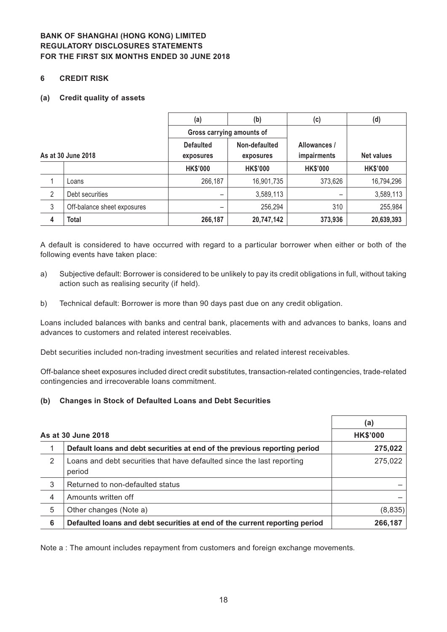#### **6 CREDIT RISK**

#### **(a) Credit quality of assets**

|                    |                             | (a)                       | (b)             | (c)             | (d)               |
|--------------------|-----------------------------|---------------------------|-----------------|-----------------|-------------------|
|                    |                             | Gross carrying amounts of |                 |                 |                   |
|                    |                             | <b>Defaulted</b>          | Non-defaulted   | Allowances /    |                   |
| As at 30 June 2018 |                             | exposures                 | exposures       | impairments     | <b>Net values</b> |
|                    |                             | <b>HK\$'000</b>           | <b>HK\$'000</b> | <b>HK\$'000</b> | <b>HK\$'000</b>   |
|                    | Loans                       | 266,187                   | 16,901,735      | 373,626         | 16,794,296        |
| 2                  | Debt securities             | -                         | 3,589,113       |                 | 3,589,113         |
| 3                  | Off-balance sheet exposures |                           | 256,294         | 310             | 255,984           |
| 4                  | <b>Total</b>                | 266,187                   | 20,747,142      | 373,936         | 20,639,393        |

A default is considered to have occurred with regard to a particular borrower when either or both of the following events have taken place:

- a) Subjective default: Borrower is considered to be unlikely to pay its credit obligations in full, without taking action such as realising security (if held).
- b) Technical default: Borrower is more than 90 days past due on any credit obligation.

Loans included balances with banks and central bank, placements with and advances to banks, loans and advances to customers and related interest receivables.

Debt securities included non-trading investment securities and related interest receivables.

Off-balance sheet exposures included direct credit substitutes, transaction-related contingencies, trade-related contingencies and irrecoverable loans commitment.

#### **(b) Changes in Stock of Defaulted Loans and Debt Securities**

|                |                                                                                  | (a)             |
|----------------|----------------------------------------------------------------------------------|-----------------|
|                | As at 30 June 2018                                                               | <b>HK\$'000</b> |
|                | Default loans and debt securities at end of the previous reporting period        | 275,022         |
| 2              | Loans and debt securities that have defaulted since the last reporting<br>period | 275,022         |
| 3              | Returned to non-defaulted status                                                 |                 |
| $\overline{4}$ | Amounts written off                                                              |                 |
| 5              | Other changes (Note a)                                                           | (8,835)         |
| 6              | Defaulted loans and debt securities at end of the current reporting period       | 266,187         |

Note a : The amount includes repayment from customers and foreign exchange movements.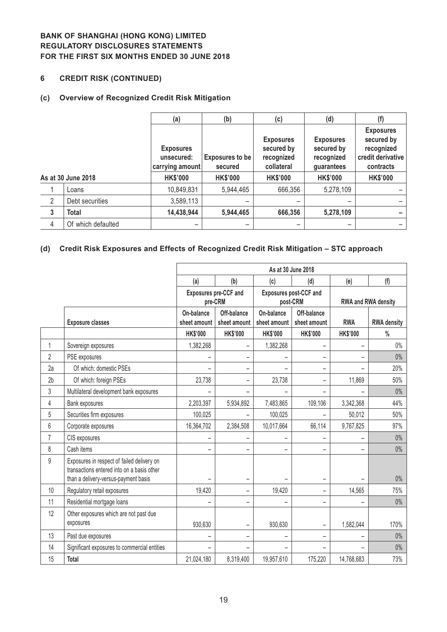## **6 CREDIT RISK (CONTINUED)**

#### **(c) Overview of Recognized Credit Risk Mitigation**

|                |                    | (a)                                               | (b)                               | (c)                                                        | (d)                                                        | (f)                                                                            |
|----------------|--------------------|---------------------------------------------------|-----------------------------------|------------------------------------------------------------|------------------------------------------------------------|--------------------------------------------------------------------------------|
|                |                    | <b>Exposures</b><br>unsecured:<br>carrying amount | <b>Exposures to be</b><br>secured | <b>Exposures</b><br>secured by<br>recognized<br>collateral | <b>Exposures</b><br>secured by<br>recognized<br>guarantees | <b>Exposures</b><br>secured by<br>recognized<br>credit derivative<br>contracts |
|                | As at 30 June 2018 | <b>HK\$'000</b>                                   | <b>HK\$'000</b>                   | <b>HK\$'000</b>                                            | <b>HK\$'000</b>                                            | <b>HK\$'000</b>                                                                |
|                | Loans              | 10,849,831                                        | 5,944,465                         | 666,356                                                    | 5,278,109                                                  |                                                                                |
| $\overline{2}$ | Debt securities    | 3,589,113                                         |                                   |                                                            |                                                            |                                                                                |
| $\mathbf{3}$   | <b>Total</b>       | 14,438,944                                        | 5,944,465                         | 666,356                                                    | 5,278,109                                                  |                                                                                |
| 4              | Of which defaulted | -                                                 | -                                 |                                                            | -                                                          |                                                                                |

## **(d) Credit Risk Exposures and Effects of Recognized Credit Risk Mitigation – STC approach**

|                |                                                                                                                                  | As at 30 June 2018         |                                         |                            |                                           |                     |                    |
|----------------|----------------------------------------------------------------------------------------------------------------------------------|----------------------------|-----------------------------------------|----------------------------|-------------------------------------------|---------------------|--------------------|
|                |                                                                                                                                  | (a)                        | (b)                                     | (c)                        | (d)                                       | (e)                 | (f)                |
|                |                                                                                                                                  |                            | <b>Exposures pre-CCF and</b><br>pre-CRM |                            | <b>Exposures post-CCF and</b><br>post-CRM | RWA and RWA density |                    |
|                | <b>Exposure classes</b>                                                                                                          | On-balance<br>sheet amount | Off-balance<br>sheet amount             | On-balance<br>sheet amount | Off-balance<br>sheet amount               | <b>RWA</b>          | <b>RWA density</b> |
|                |                                                                                                                                  | <b>HK\$'000</b>            | <b>HK\$'000</b>                         | <b>HK\$'000</b>            | <b>HK\$'000</b>                           | <b>HK\$'000</b>     | $\%$               |
| 1              | Sovereign exposures                                                                                                              | 1,382,268                  | $\overline{\phantom{0}}$                | 1,382,268                  | $\overline{\phantom{0}}$                  |                     | $0\%$              |
| 2              | PSE exposures                                                                                                                    |                            | $\qquad \qquad -$                       |                            | -                                         |                     | $0\%$              |
| 2a             | Of which: domestic PSEs                                                                                                          |                            | -                                       |                            | $\overline{\phantom{0}}$                  |                     | 20%                |
| 2 <sub>b</sub> | Of which: foreign PSEs                                                                                                           | 23,738                     | $\qquad \qquad -$                       | 23,738                     | -                                         | 11,869              | 50%                |
| 3              | Multilateral development bank exposures                                                                                          |                            |                                         |                            |                                           |                     | $0\%$              |
| 4              | Bank exposures                                                                                                                   | 2,203,397                  | 5,934,892                               | 7,483,865                  | 109,106                                   | 3,342,368           | 44%                |
| 5              | Securities firm exposures                                                                                                        | 100,025                    |                                         | 100,025                    |                                           | 50,012              | 50%                |
| 6              | Corporate exposures                                                                                                              | 16,364,702                 | 2,384,508                               | 10,017,664                 | 66,114                                    | 9,767,825           | 97%                |
| $\overline{7}$ | CIS exposures                                                                                                                    |                            |                                         |                            |                                           |                     | $0\%$              |
| 8              | Cash items                                                                                                                       | -                          | $\qquad \qquad -$                       | $\overline{\phantom{m}}$   | -                                         |                     | $0\%$              |
| 9              | Exposures in respect of failed delivery on<br>transactions entered into on a basis other<br>than a delivery-versus-payment basis |                            |                                         |                            |                                           |                     | $0\%$              |
| 10             | Regulatory retail exposures                                                                                                      | 19,420                     | $\overline{\phantom{0}}$                | 19,420                     | Ξ.                                        | 14,565              | 75%                |
| 11             | Residential mortgage loans                                                                                                       |                            |                                         |                            | -                                         |                     | $0\%$              |
| 12             | Other exposures which are not past due<br>exposures                                                                              | 930,630                    |                                         | 930,630                    | $\overline{\phantom{0}}$                  | 1,582,044           | 170%               |
| 13             | Past due exposures                                                                                                               |                            |                                         |                            |                                           |                     | $0\%$              |
| 14             | Significant exposures to commercial entities                                                                                     |                            |                                         |                            |                                           |                     | $0\%$              |
| 15             | Total                                                                                                                            | 21,024,180                 | 8,319,400                               | 19,957,610                 | 175,220                                   | 14,768,683          | 73%                |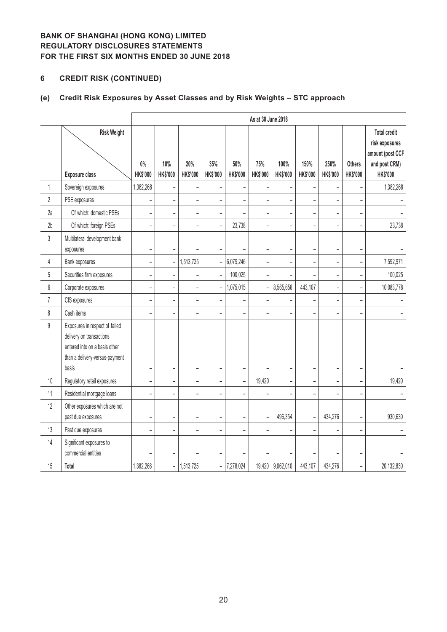# **6 CREDIT RISK (CONTINUED)**

# **(e) Credit Risk Exposures by Asset Classes and by Risk Weights – STC approach**

|                |                                                                                                                                        |                          | As at 30 June 2018       |                          |                              |                          |                          |                  |                          |                          |                                  |                                                                                               |
|----------------|----------------------------------------------------------------------------------------------------------------------------------------|--------------------------|--------------------------|--------------------------|------------------------------|--------------------------|--------------------------|------------------|--------------------------|--------------------------|----------------------------------|-----------------------------------------------------------------------------------------------|
|                | <b>Risk Weight</b><br><b>Exposure class</b>                                                                                            | $0\%$<br><b>HK\$'000</b> | 10%<br><b>HK\$'000</b>   | 20%<br>HK\$'000          | 35%<br><b>HK\$'000</b>       | 50%<br><b>HK\$'000</b>   | 75%<br><b>HK\$'000</b>   | 100%<br>HK\$'000 | 150%<br><b>HK\$'000</b>  | 250%<br><b>HK\$'000</b>  | <b>Others</b><br><b>HK\$'000</b> | <b>Total credit</b><br>risk exposures<br>amount (post CCF<br>and post CRM)<br><b>HK\$'000</b> |
| 1              | Sovereign exposures                                                                                                                    | 1,382,268                | $\overline{\phantom{0}}$ |                          |                              |                          |                          | $\overline{a}$   |                          |                          |                                  | 1,382,268                                                                                     |
| $\overline{2}$ | PSE exposures                                                                                                                          | $\overline{\phantom{0}}$ | $\qquad \qquad -$        | $\qquad \qquad -$        | $\overline{\phantom{0}}$     | $\overline{\phantom{a}}$ | $\overline{\phantom{0}}$ | $\overline{a}$   | $\overline{\phantom{0}}$ | $\overline{\phantom{0}}$ | $\overline{\phantom{0}}$         |                                                                                               |
| 2a             | Of which: domestic PSEs                                                                                                                | $\overline{\phantom{0}}$ | $\overline{\phantom{0}}$ | $\overline{\phantom{a}}$ | $\overline{a}$               |                          | $\overline{a}$           | ÷,               | $\overline{a}$           | L,                       | $\overline{\phantom{a}}$         |                                                                                               |
| 2 <sub>b</sub> | Of which: foreign PSEs                                                                                                                 | $\overline{\phantom{0}}$ | $\overline{a}$           | $\overline{a}$           | $\overline{a}$               | 23,738                   | $\overline{a}$           | $\overline{a}$   | $\overline{a}$           | L.                       |                                  | 23,738                                                                                        |
| 3              | Multilateral development bank<br>exposures                                                                                             | $\overline{\phantom{0}}$ | $\overline{\phantom{a}}$ |                          |                              |                          | $\overline{a}$           | ÷,               | $\overline{\phantom{0}}$ |                          | $\overline{\phantom{a}}$         |                                                                                               |
| 4              | Bank exposures                                                                                                                         | $\overline{a}$           | $\qquad \qquad -$        | 1,513,725                | $\overline{\phantom{0}}$     | 6,079,246                | -                        | $\overline{a}$   | $\overline{a}$           | $\overline{\phantom{0}}$ |                                  | 7,592,971                                                                                     |
| 5              | Securities firm exposures                                                                                                              | $\overline{a}$           | $\overline{\phantom{0}}$ | $\overline{\phantom{a}}$ | $\frac{1}{2}$                | 100,025                  | $\overline{\phantom{0}}$ | $\overline{a}$   | $\overline{a}$           | $\overline{a}$           | $\overline{\phantom{0}}$         | 100,025                                                                                       |
| 6              | Corporate exposures                                                                                                                    | $\overline{a}$           | $\overline{\phantom{0}}$ | $\overline{\phantom{a}}$ | $\bar{\phantom{a}}$          | 1,075,015                | $\frac{1}{2}$            | 8,565,656        | 443,107                  | $\overline{a}$           | $\overline{a}$                   | 10,083,778                                                                                    |
| $\overline{7}$ | CIS exposures                                                                                                                          | $\overline{\phantom{0}}$ | $\overline{\phantom{0}}$ | $\qquad \qquad -$        | $\overline{\phantom{0}}$     |                          | $\overline{\phantom{0}}$ | $\overline{a}$   | -                        | $\overline{\phantom{0}}$ |                                  |                                                                                               |
| 8              | Cash items                                                                                                                             | $\overline{\phantom{0}}$ | $\overline{\phantom{0}}$ | $\qquad \qquad -$        | $\overline{\phantom{0}}$     |                          | $\overline{\phantom{0}}$ | -                | -                        |                          | $\overline{\phantom{0}}$         |                                                                                               |
| $\mathsf g$    | Exposures in respect of failed<br>delivery on transactions<br>entered into on a basis other<br>than a delivery-versus-payment<br>basis | ÷                        | $\overline{\phantom{0}}$ | -                        | $\qquad \qquad \blacksquare$ | $\overline{\phantom{0}}$ |                          | -                | -                        | $\overline{\phantom{0}}$ | $\overline{a}$                   |                                                                                               |
| $10\,$         | Regulatory retail exposures                                                                                                            | $\overline{\phantom{0}}$ | $\overline{a}$           | $\overline{\phantom{0}}$ | $\overline{a}$               |                          | 19,420                   | $\overline{a}$   | $\overline{a}$           |                          |                                  | 19,420                                                                                        |
| 11             | Residential mortgage loans                                                                                                             | $\overline{\phantom{a}}$ | L.                       | $\overline{\phantom{0}}$ | $\overline{a}$               |                          | $\overline{a}$           | ÷,               | -                        | ÷                        |                                  |                                                                                               |
| 12             | Other exposures which are not<br>past due exposures                                                                                    | $\overline{\phantom{0}}$ | $\overline{\phantom{0}}$ | $\qquad \qquad -$        | $\overline{\phantom{0}}$     |                          | $\overline{\phantom{0}}$ | 496,354          | -                        | 434,276                  | $\overline{\phantom{a}}$         | 930,630                                                                                       |
| 13             | Past due exposures                                                                                                                     |                          | $\overline{a}$           | $\overline{\phantom{0}}$ |                              |                          | -                        | -                | -                        |                          |                                  |                                                                                               |
| 14             | Significant exposures to<br>commercial entities                                                                                        |                          | ÷                        |                          |                              |                          |                          |                  |                          |                          |                                  |                                                                                               |
| 15             | Total                                                                                                                                  | 1,382,268                | $\qquad \qquad -$        | 1,513,725                | $\qquad \qquad -$            | 7,278,024                |                          | 19,420 9,062,010 | 443,107                  | 434,276                  | $\overline{a}$                   | 20,132,830                                                                                    |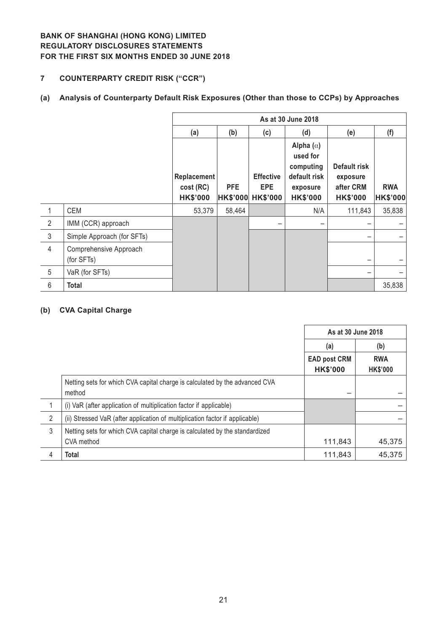## **7 COUNTERPARTY CREDIT RISK ("CCR")**

# **(a) Analysis of Counterparty Default Risk Exposures (Other than those to CCPs) by Approaches**

|                |                                      | As at 30 June 2018       |                 |                                |                                                                       |                                       |                 |
|----------------|--------------------------------------|--------------------------|-----------------|--------------------------------|-----------------------------------------------------------------------|---------------------------------------|-----------------|
|                |                                      | (a)                      | (b)             | (c)                            | (d)                                                                   | (e)                                   | (f)             |
|                |                                      | Replacement<br>cost (RC) | <b>PFE</b>      | <b>Effective</b><br><b>EPE</b> | Alpha $(\alpha)$<br>used for<br>computing<br>default risk<br>exposure | Default risk<br>exposure<br>after CRM | <b>RWA</b>      |
|                |                                      | <b>HK\$'000</b>          | <b>HK\$'000</b> | <b>HK\$'000</b>                | <b>HK\$'000</b>                                                       | <b>HK\$'000</b>                       | <b>HK\$'000</b> |
| 1              | <b>CEM</b>                           | 53,379                   | 58,464          |                                | N/A                                                                   | 111,843                               | 35,838          |
| 2              | IMM (CCR) approach                   |                          |                 |                                |                                                                       |                                       |                 |
| $\mathfrak{Z}$ | Simple Approach (for SFTs)           |                          |                 |                                |                                                                       |                                       |                 |
| $\overline{4}$ | Comprehensive Approach<br>(for SFTs) |                          |                 |                                |                                                                       |                                       |                 |
| 5              | VaR (for SFTs)                       |                          |                 |                                |                                                                       |                                       |                 |
| 6              | <b>Total</b>                         |                          |                 |                                |                                                                       |                                       | 35,838          |

#### **(b) CVA Capital Charge**

|                |                                                                                       | As at 30 June 2018                     |                               |
|----------------|---------------------------------------------------------------------------------------|----------------------------------------|-------------------------------|
|                |                                                                                       | (a)                                    | (b)                           |
|                |                                                                                       | <b>EAD post CRM</b><br><b>HK\$'000</b> | <b>RWA</b><br><b>HK\$'000</b> |
|                | Netting sets for which CVA capital charge is calculated by the advanced CVA<br>method |                                        |                               |
|                | (i) VaR (after application of multiplication factor if applicable)                    |                                        |                               |
| $\overline{2}$ | (ii) Stressed VaR (after application of multiplication factor if applicable)          |                                        |                               |
| $\mathfrak{Z}$ | Netting sets for which CVA capital charge is calculated by the standardized           |                                        |                               |
|                | CVA method                                                                            | 111,843                                | 45,375                        |
| 4              | <b>Total</b>                                                                          | 111,843                                | 45,375                        |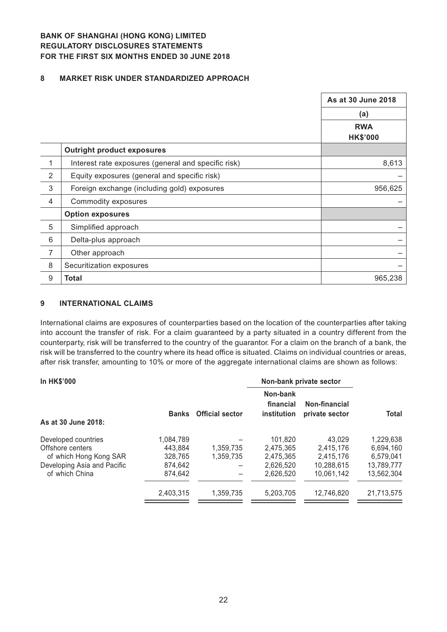#### **8 MARKET RISK UNDER STANDARDIZED APPROACH**

|                |                                                     | As at 30 June 2018 |
|----------------|-----------------------------------------------------|--------------------|
|                |                                                     | (a)                |
|                |                                                     | <b>RWA</b>         |
|                |                                                     | <b>HK\$'000</b>    |
|                | <b>Outright product exposures</b>                   |                    |
| 1              | Interest rate exposures (general and specific risk) | 8,613              |
| $\overline{2}$ | Equity exposures (general and specific risk)        |                    |
| 3              | Foreign exchange (including gold) exposures         | 956,625            |
| $\overline{4}$ | Commodity exposures                                 |                    |
|                | <b>Option exposures</b>                             |                    |
| 5              | Simplified approach                                 |                    |
| 6              | Delta-plus approach                                 |                    |
| $\overline{7}$ | Other approach                                      |                    |
| 8              | Securitization exposures                            |                    |
| $9\,$          | Total                                               | 965,238            |

#### **9 INTERNATIONAL CLAIMS**

International claims are exposures of counterparties based on the location of the counterparties after taking into account the transfer of risk. For a claim guaranteed by a party situated in a country different from the counterparty, risk will be transferred to the country of the guarantor. For a claim on the branch of a bank, the risk will be transferred to the country where its head office is situated. Claims on individual countries or areas, after risk transfer, amounting to 10% or more of the aggregate international claims are shown as follows:

| <b>Banks</b> | <b>Official sector</b> | Non-bank<br>financial<br>institution | Non-financial<br>private sector | <b>Total</b>                                   |
|--------------|------------------------|--------------------------------------|---------------------------------|------------------------------------------------|
|              |                        |                                      |                                 | 1.229.638                                      |
| 443.884      |                        |                                      |                                 | 6,694,160                                      |
| 328,765      | 1.359.735              | 2.475.365                            | 2.415.176                       | 6.579.041                                      |
| 874,642      |                        | 2,626,520                            | 10.288.615                      | 13,789,777                                     |
| 874,642      |                        | 2,626,520                            | 10.061.142                      | 13.562.304                                     |
| 2.403.315    | 1,359,735              | 5.203.705                            | 12.746.820                      | 21.713.575                                     |
|              | 1.084.789              | 1,359,735                            | 101.820<br>2,475,365            | Non-bank private sector<br>43.029<br>2,415,176 |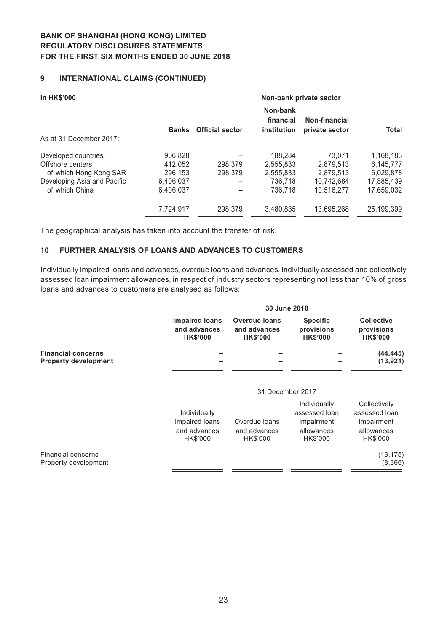## **9 INTERNATIONAL CLAIMS (CONTINUED)**

| <b>In HK\$'000</b>          |              |                        | Non-bank private sector                     |                                 |            |
|-----------------------------|--------------|------------------------|---------------------------------------------|---------------------------------|------------|
|                             | <b>Banks</b> | <b>Official sector</b> | Non-bank<br>financial<br><b>institution</b> | Non-financial<br>private sector | Total      |
| As at 31 December 2017:     |              |                        |                                             |                                 |            |
| Developed countries         | 906,828      |                        | 188,284                                     | 73.071                          | 1,168,183  |
| Offshore centers            | 412.052      | 298,379                | 2.555.833                                   | 2.879.513                       | 6,145,777  |
| of which Hong Kong SAR      | 296,153      | 298,379                | 2,555,833                                   | 2.879.513                       | 6,029,878  |
| Developing Asia and Pacific | 6.406.037    |                        | 736.718                                     | 10.742.684                      | 17.885.439 |
| of which China              | 6.406.037    |                        | 736.718                                     | 10,516,277                      | 17.659.032 |
|                             | 7,724,917    | 298,379                | 3.480.835                                   | 13.695.268                      | 25,199,399 |
|                             |              |                        |                                             |                                 |            |

The geographical analysis has taken into account the transfer of risk.

#### **10 FURTHER ANALYSIS OF LOANS AND ADVANCES TO CUSTOMERS**

Individually impaired loans and advances, overdue loans and advances, individually assessed and collectively assessed loan impairment allowances, in respect of industry sectors representing not less than 10% of gross loans and advances to customers are analysed as follows:

|                                                          | 30 June 2018                                               |                                                         |                                                                       |                                                                       |  |  |  |
|----------------------------------------------------------|------------------------------------------------------------|---------------------------------------------------------|-----------------------------------------------------------------------|-----------------------------------------------------------------------|--|--|--|
|                                                          | <b>Impaired loans</b><br>and advances<br><b>HK\$'000</b>   | <b>Overdue loans</b><br>and advances<br><b>HK\$'000</b> | <b>Specific</b><br>provisions<br><b>HK\$'000</b>                      | <b>Collective</b><br>provisions<br><b>HK\$'000</b>                    |  |  |  |
| <b>Financial concerns</b><br><b>Property development</b> |                                                            |                                                         |                                                                       | (44, 445)<br>(13, 921)                                                |  |  |  |
|                                                          |                                                            | 31 December 2017                                        |                                                                       |                                                                       |  |  |  |
|                                                          | Individually<br>impaired loans<br>and advances<br>HK\$'000 | Overdue loans<br>and advances<br>HK\$'000               | Individually<br>assessed loan<br>impairment<br>allowances<br>HK\$'000 | Collectively<br>assessed loan<br>impairment<br>allowances<br>HK\$'000 |  |  |  |
| <b>Financial concerns</b><br>Property development        |                                                            |                                                         |                                                                       | (13, 175)<br>(8,366)                                                  |  |  |  |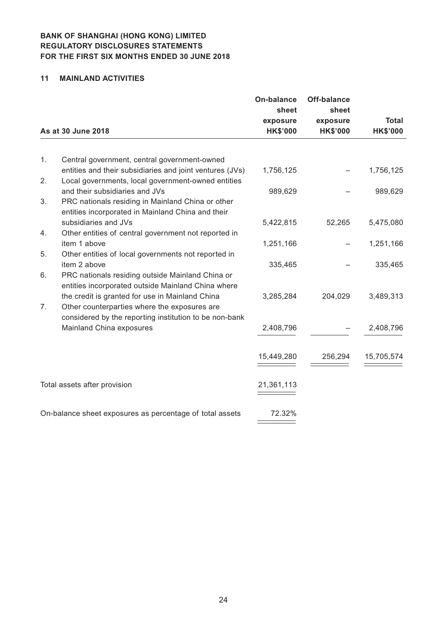#### **11 MAINLAND ACTIVITIES**

|    |                                                                                                        | <b>On-balance</b><br>sheet  | <b>Off-balance</b><br>sheet |                                 |
|----|--------------------------------------------------------------------------------------------------------|-----------------------------|-----------------------------|---------------------------------|
|    | As at 30 June 2018                                                                                     | exposure<br><b>HK\$'000</b> | exposure<br><b>HK\$'000</b> | <b>Total</b><br><b>HK\$'000</b> |
|    |                                                                                                        |                             |                             |                                 |
| 1. | Central government, central government-owned                                                           |                             |                             |                                 |
|    | entities and their subsidiaries and joint ventures (JVs)                                               | 1,756,125                   |                             | 1,756,125                       |
| 2. | Local governments, local government-owned entities                                                     |                             |                             |                                 |
|    | and their subsidiaries and JVs                                                                         | 989,629                     |                             | 989,629                         |
| 3. | PRC nationals residing in Mainland China or other                                                      |                             |                             |                                 |
|    | entities incorporated in Mainland China and their                                                      |                             |                             |                                 |
|    | subsidiaries and JVs                                                                                   | 5,422,815                   | 52,265                      | 5,475,080                       |
| 4. | Other entities of central government not reported in                                                   |                             |                             |                                 |
|    | item 1 above                                                                                           | 1,251,166                   |                             | 1,251,166                       |
| 5. | Other entities of local governments not reported in                                                    |                             |                             |                                 |
|    | item 2 above                                                                                           | 335,465                     |                             | 335,465                         |
| 6. | PRC nationals residing outside Mainland China or<br>entities incorporated outside Mainland China where |                             |                             |                                 |
|    | the credit is granted for use in Mainland China                                                        | 3,285,284                   | 204,029                     | 3,489,313                       |
| 7. | Other counterparties where the exposures are                                                           |                             |                             |                                 |
|    | considered by the reporting institution to be non-bank                                                 |                             |                             |                                 |
|    | Mainland China exposures                                                                               | 2,408,796                   |                             | 2,408,796                       |
|    |                                                                                                        |                             |                             |                                 |
|    |                                                                                                        | 15,449,280                  | 256,294                     | 15,705,574                      |
|    |                                                                                                        |                             |                             |                                 |
|    | Total assets after provision                                                                           | 21,361,113                  |                             |                                 |
|    |                                                                                                        |                             |                             |                                 |
|    | On-balance sheet exposures as percentage of total assets                                               | 72.32%                      |                             |                                 |
|    |                                                                                                        |                             |                             |                                 |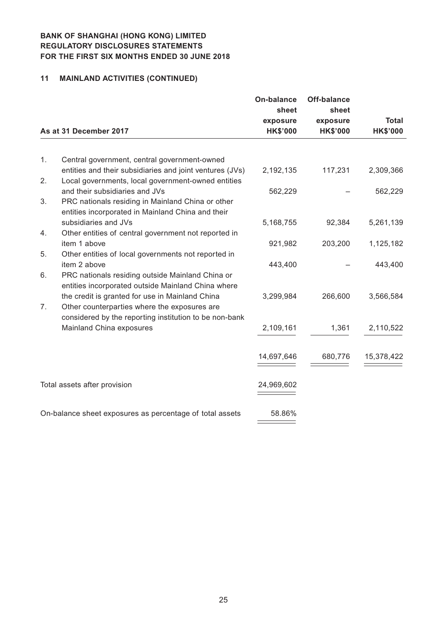# **11 MAINLAND ACTIVITIES (CONTINUED)**

|    |                                                                                                                | <b>On-balance</b> | <b>Off-balance</b> |                 |
|----|----------------------------------------------------------------------------------------------------------------|-------------------|--------------------|-----------------|
|    |                                                                                                                | sheet<br>exposure | sheet<br>exposure  | <b>Total</b>    |
|    | As at 31 December 2017                                                                                         | <b>HK\$'000</b>   | <b>HK\$'000</b>    | <b>HK\$'000</b> |
|    |                                                                                                                |                   |                    |                 |
| 1. | Central government, central government-owned                                                                   |                   |                    |                 |
| 2. | entities and their subsidiaries and joint ventures (JVs)<br>Local governments, local government-owned entities | 2,192,135         | 117,231            | 2,309,366       |
|    | and their subsidiaries and JVs                                                                                 | 562,229           |                    | 562,229         |
| 3. | PRC nationals residing in Mainland China or other                                                              |                   |                    |                 |
|    | entities incorporated in Mainland China and their                                                              |                   |                    |                 |
| 4. | subsidiaries and JVs<br>Other entities of central government not reported in                                   | 5,168,755         | 92,384             | 5,261,139       |
|    | item 1 above                                                                                                   | 921,982           | 203,200            | 1,125,182       |
| 5. | Other entities of local governments not reported in                                                            |                   |                    |                 |
|    | item 2 above                                                                                                   | 443,400           |                    | 443,400         |
| 6. | PRC nationals residing outside Mainland China or                                                               |                   |                    |                 |
|    | entities incorporated outside Mainland China where                                                             |                   |                    |                 |
|    | the credit is granted for use in Mainland China                                                                | 3,299,984         | 266,600            | 3,566,584       |
| 7. | Other counterparties where the exposures are                                                                   |                   |                    |                 |
|    | considered by the reporting institution to be non-bank<br>Mainland China exposures                             | 2,109,161         | 1,361              | 2,110,522       |
|    |                                                                                                                |                   |                    |                 |
|    |                                                                                                                | 14,697,646        | 680,776            | 15,378,422      |
|    |                                                                                                                |                   |                    |                 |
|    | Total assets after provision                                                                                   | 24,969,602        |                    |                 |
|    |                                                                                                                |                   |                    |                 |
|    | On-balance sheet exposures as percentage of total assets                                                       | 58.86%            |                    |                 |
|    |                                                                                                                |                   |                    |                 |